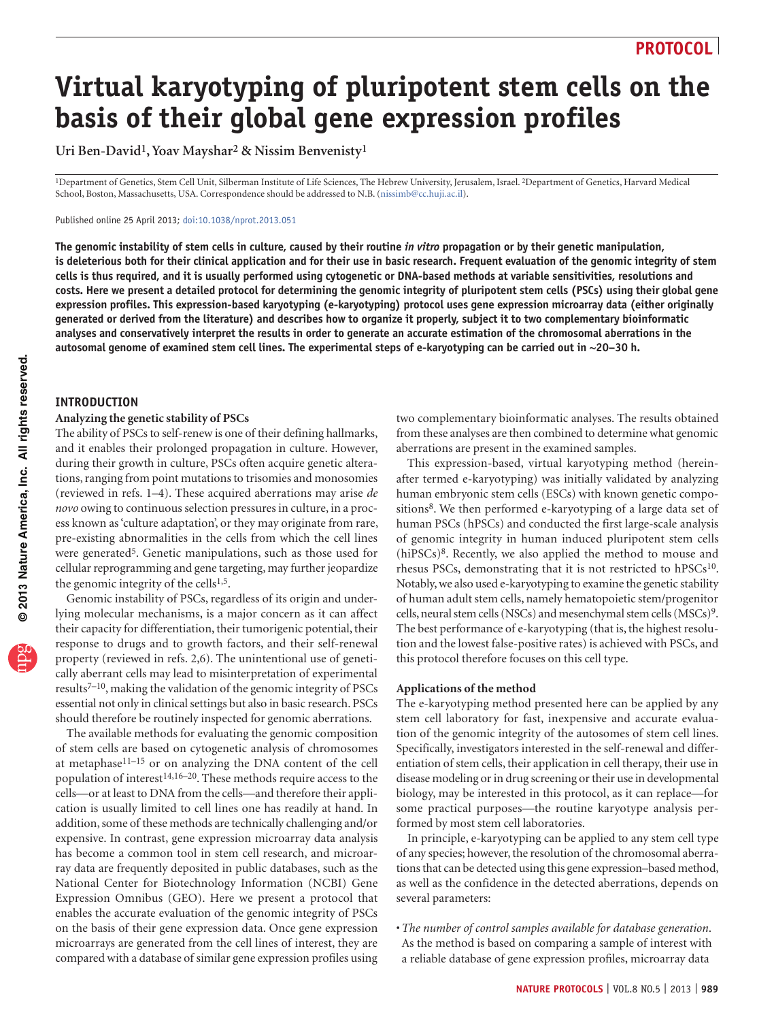# **Virtual karyotyping of pluripotent stem cells on the basis of their global gene expression profiles**

**Uri Ben-David1, Yoav Mayshar2 & Nissim Benvenisty1**

1Department of Genetics, Stem Cell Unit, Silberman Institute of Life Sciences, The Hebrew University, Jerusalem, Israel. 2Department of Genetics, Harvard Medical School, Boston, Massachusetts, USA. Correspondence should be addressed to N.B. (nissimb@cc.huji.ac.il).

Published online 25 April 2013; [doi:10.1038/nprot.2013.051](http://www.nature.com/doifinder/10.1038/nprot.2013.051)

**The genomic instability of stem cells in culture, caused by their routine** *in vitro* **propagation or by their genetic manipulation, is deleterious both for their clinical application and for their use in basic research. Frequent evaluation of the genomic integrity of stem cells is thus required, and it is usually performed using cytogenetic or DNA-based methods at variable sensitivities, resolutions and costs. Here we present a detailed protocol for determining the genomic integrity of pluripotent stem cells (PSCs) using their global gene expression profiles. This expression-based karyotyping (e-karyotyping) protocol uses gene expression microarray data (either originally generated or derived from the literature) and describes how to organize it properly, subject it to two complementary bioinformatic analyses and conservatively interpret the results in order to generate an accurate estimation of the chromosomal aberrations in the autosomal genome of examined stem cell lines. The experimental steps of e-karyotyping can be carried out in ~20–30 h.**

#### **INTRODUCTION**

#### **Analyzing the genetic stability of PSCs**

The ability of PSCs to self-renew is one of their defining hallmarks, and it enables their prolonged propagation in culture. However, during their growth in culture, PSCs often acquire genetic alterations, ranging from point mutations to trisomies and monosomies (reviewed in refs. [1–4](#page-8-0)). These acquired aberrations may arise *de novo* owing to continuous selection pressures in culture, in a process known as 'culture adaptation', or they may originate from rare, pre-existing abnormalities in the cells from which the cell lines were generated<sup>[5](#page-8-1)</sup>. Genetic manipulations, such as those used for cellular reprogramming and gene targeting, may further jeopardize the genomic integrity of the cells<sup>1,5</sup>.

Genomic instability of PSCs, regardless of its origin and underlying molecular mechanisms, is a major concern as it can affect their capacity for differentiation, their tumorigenic potential, their response to drugs and to growth factors, and their self-renewal property (reviewed in refs. [2,6\)](#page-8-2). The unintentional use of genetically aberrant cells may lead to misinterpretation of experimental results<sup>7-10</sup>, making the validation of the genomic integrity of PSCs essential not only in clinical settings but also in basic research. PSCs should therefore be routinely inspected for genomic aberrations.

The available methods for evaluating the genomic composition of stem cells are based on cytogenetic analysis of chromosomes at metaphase<sup>11-15</sup> or on analyzing the DNA content of the cell population of interest<sup>14,16-20</sup>. These methods require access to the cells—or at least to DNA from the cells—and therefore their application is usually limited to cell lines one has readily at hand. In addition, some of these methods are technically challenging and/or expensive. In contrast, gene expression microarray data analysis has become a common tool in stem cell research, and microarray data are frequently deposited in public databases, such as the National Center for Biotechnology Information (NCBI) Gene Expression Omnibus (GEO). Here we present a protocol that enables the accurate evaluation of the genomic integrity of PSCs on the basis of their gene expression data. Once gene expression microarrays are generated from the cell lines of interest, they are compared with a database of similar gene expression profiles using two complementary bioinformatic analyses. The results obtained from these analyses are then combined to determine what genomic aberrations are present in the examined samples.

This expression-based, virtual karyotyping method (hereinafter termed e-karyotyping) was initially validated by analyzing human embryonic stem cells (ESCs) with known genetic composition[s8.](#page-8-6) We then performed e-karyotyping of a large data set of human PSCs (hPSCs) and conducted the first large-scale analysis of genomic integrity in human induced pluripotent stem cells (hiPSCs)[8](#page-8-6). Recently, we also applied the method to mouse and rhesus PSCs, demonstrating that it is not restricted to hPSCs[10](#page-8-7). Notably, we also used e-karyotyping to examine the genetic stability of human adult stem cells, namely hematopoietic stem/progenitor cells, neural stem cells (NSCs) and mesenchymal stem cells (MSCs)[9](#page-8-8). The best performance of e-karyotyping (that is, the highest resolution and the lowest false-positive rates) is achieved with PSCs, and this protocol therefore focuses on this cell type.

#### **Applications of the method**

The e-karyotyping method presented here can be applied by any stem cell laboratory for fast, inexpensive and accurate evaluation of the genomic integrity of the autosomes of stem cell lines. Specifically, investigators interested in the self-renewal and differentiation of stem cells, their application in cell therapy, their use in disease modeling or in drug screening or their use in developmental biology, may be interested in this protocol, as it can replace—for some practical purposes—the routine karyotype analysis performed by most stem cell laboratories.

In principle, e-karyotyping can be applied to any stem cell type of any species; however, the resolution of the chromosomal aberrations that can be detected using this gene expression–based method, as well as the confidence in the detected aberrations, depends on several parameters:

*The number of control samples available for database generation*. • As the method is based on comparing a sample of interest with a reliable database of gene expression profiles, microarray data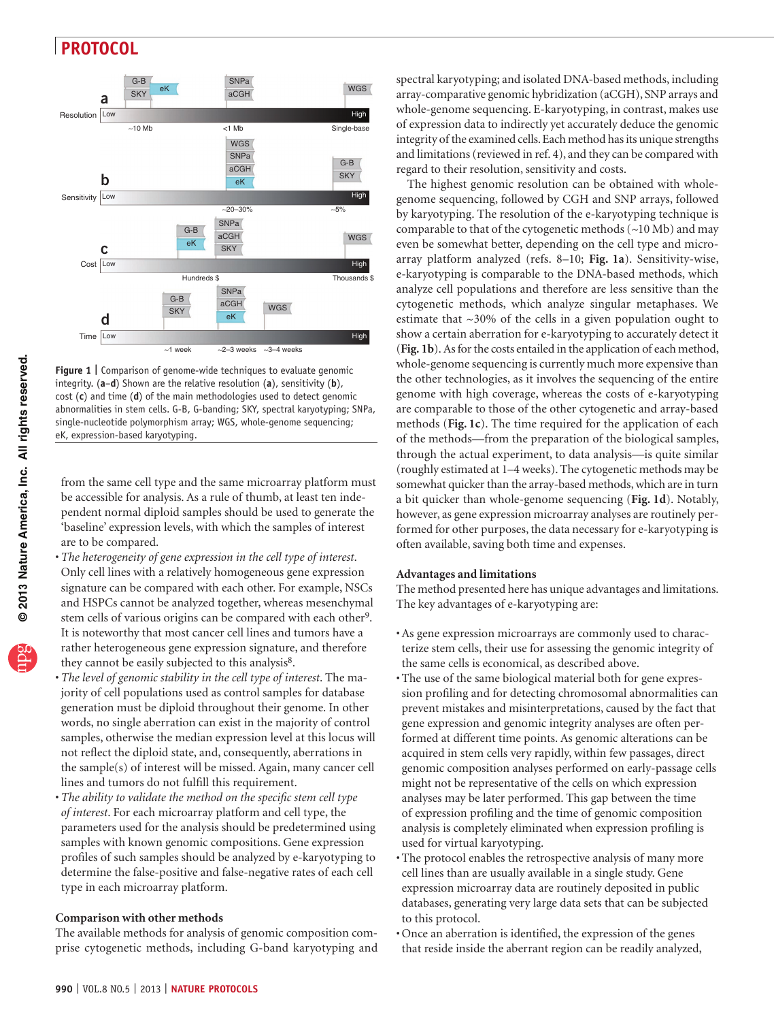

<span id="page-1-0"></span>**Figure 1 |** Comparison of genome-wide techniques to evaluate genomic integrity. (**a**–**d**) Shown are the relative resolution (**a**), sensitivity (**b**), cost (**c**) and time (**d**) of the main methodologies used to detect genomic abnormalities in stem cells. G-B, G-banding; SKY, spectral karyotyping; SNPa, single-nucleotide polymorphism array; WGS, whole-genome sequencing; eK, expression-based karyotyping.

from the same cell type and the same microarray platform must be accessible for analysis. As a rule of thumb, at least ten independent normal diploid samples should be used to generate the 'baseline' expression levels, with which the samples of interest are to be compared.

- *The heterogeneity of gene expression in the cell type of interest*. Only cell lines with a relatively homogeneous gene expression signature can be compared with each other. For example, NSCs and HSPCs cannot be analyzed together, whereas mesenchymal stem cells of various origins can be compared with each other<sup>9</sup>. It is noteworthy that most cancer cell lines and tumors have a rather heterogeneous gene expression signature, and therefore they cannot be easily subjected to this analysis<sup>[8](#page-8-6)</sup>.
- *The level of genomic stability in the cell type of interest*. The ma-• jority of cell populations used as control samples for database generation must be diploid throughout their genome. In other words, no single aberration can exist in the majority of control samples, otherwise the median expression level at this locus will not reflect the diploid state, and, consequently, aberrations in the sample(s) of interest will be missed. Again, many cancer cell lines and tumors do not fulfill this requirement.
- *The ability to validate the method on the specific stem cell type of interest*. For each microarray platform and cell type, the parameters used for the analysis should be predetermined using samples with known genomic compositions. Gene expression profiles of such samples should be analyzed by e-karyotyping to determine the false-positive and false-negative rates of each cell type in each microarray platform.

#### **Comparison with other methods**

The available methods for analysis of genomic composition comprise cytogenetic methods, including G-band karyotyping and spectral karyotyping; and isolated DNA-based methods, including array-comparative genomic hybridization (aCGH), SNP arrays and whole-genome sequencing. E-karyotyping, in contrast, makes use of expression data to indirectly yet accurately deduce the genomic integrity of the examined cells. Each method has its unique strengths and limitations (reviewed in ref. [4\)](#page-8-9), and they can be compared with regard to their resolution, sensitivity and costs.

The highest genomic resolution can be obtained with wholegenome sequencing, followed by CGH and SNP arrays, followed by karyotyping. The resolution of the e-karyotyping technique is comparable to that of the cytogenetic methods (~10 Mb) and may even be somewhat better, depending on the cell type and microarray platform analyzed (refs. [8–10;](#page-8-6) **[Fig. 1a](#page-1-0)**). Sensitivity-wise, e-karyotyping is comparable to the DNA-based methods, which analyze cell populations and therefore are less sensitive than the cytogenetic methods, which analyze singular metaphases. We estimate that ~30% of the cells in a given population ought to show a certain aberration for e-karyotyping to accurately detect it (**[Fig.](#page-1-0) 1b**). As for the costs entailed in the application of each method, whole-genome sequencing is currently much more expensive than the other technologies, as it involves the sequencing of the entire genome with high coverage, whereas the costs of e-karyotyping are comparable to those of the other cytogenetic and array-based methods (**[Fig.](#page-1-0) 1c**). The time required for the application of each of the methods—from the preparation of the biological samples, through the actual experiment, to data analysis—is quite similar (roughly estimated at 1–4 weeks). The cytogenetic methods may be somewhat quicker than the array-based methods, which are in turn a bit quicker than whole-genome sequencing (**[Fig. 1d](#page-1-0)**). Notably, however, as gene expression microarray analyses are routinely performed for other purposes, the data necessary for e-karyotyping is often available, saving both time and expenses.

## **Advantages and limitations**

The method presented here has unique advantages and limitations. The key advantages of e-karyotyping are:

- As gene expression microarrays are commonly used to charac-• terize stem cells, their use for assessing the genomic integrity of the same cells is economical, as described above.
- The use of the same biological material both for gene expres-• sion profiling and for detecting chromosomal abnormalities can prevent mistakes and misinterpretations, caused by the fact that gene expression and genomic integrity analyses are often performed at different time points. As genomic alterations can be acquired in stem cells very rapidly, within few passages, direct genomic composition analyses performed on early-passage cells might not be representative of the cells on which expression analyses may be later performed. This gap between the time of expression profiling and the time of genomic composition analysis is completely eliminated when expression profiling is used for virtual karyotyping.
- The protocol enables the retrospective analysis of many more cell lines than are usually available in a single study. Gene expression microarray data are routinely deposited in public databases, generating very large data sets that can be subjected to this protocol.
- Once an aberration is identified, the expression of the genes that reside inside the aberrant region can be readily analyzed,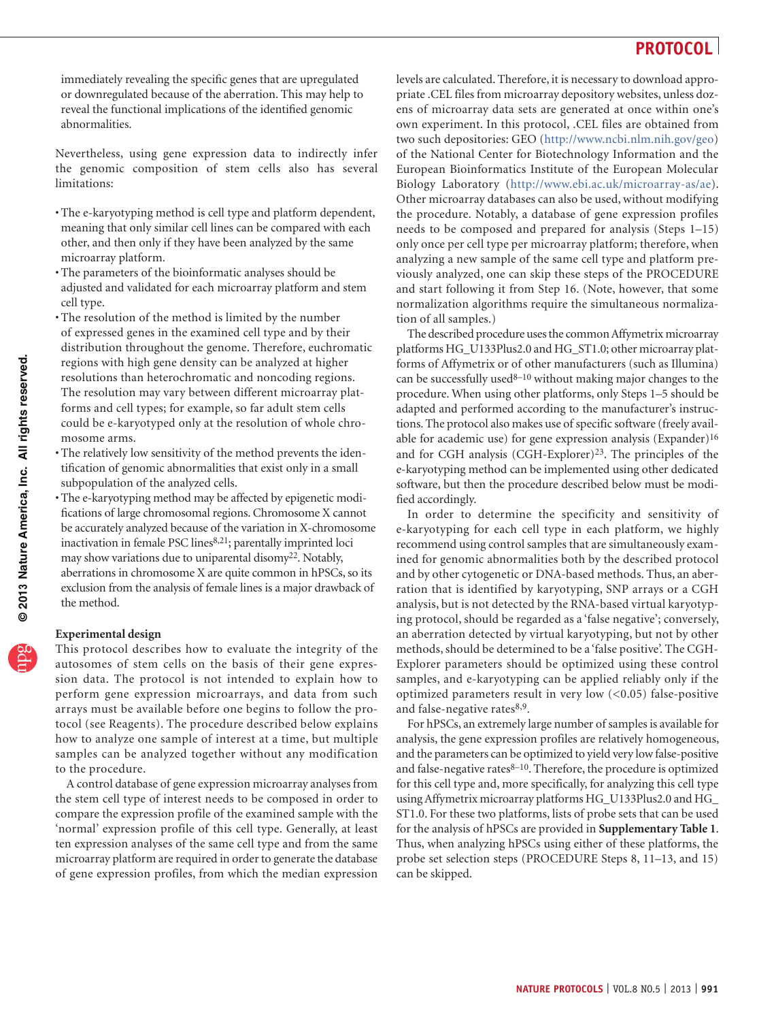immediately revealing the specific genes that are upregulated or downregulated because of the aberration. This may help to reveal the functional implications of the identified genomic abnormalities.

Nevertheless, using gene expression data to indirectly infer the genomic composition of stem cells also has several limitations:

- The e-karyotyping method is cell type and platform dependent, meaning that only similar cell lines can be compared with each other, and then only if they have been analyzed by the same microarray platform.
- The parameters of the bioinformatic analyses should be adjusted and validated for each microarray platform and stem cell type.
- The resolution of the method is limited by the number of expressed genes in the examined cell type and by their distribution throughout the genome. Therefore, euchromatic regions with high gene density can be analyzed at higher resolutions than heterochromatic and noncoding regions. The resolution may vary between different microarray platforms and cell types; for example, so far adult stem cells could be e-karyotyped only at the resolution of whole chromosome arms.
- The relatively low sensitivity of the method prevents the iden-• tification of genomic abnormalities that exist only in a small subpopulation of the analyzed cells.
- The e-karyotyping method may be affected by epigenetic modi-• fications of large chromosomal regions. Chromosome X cannot be accurately analyzed because of the variation in X-chromosome inactivation in female PSC lines<sup>[8,21](#page-8-6)</sup>; parentally imprinted loci may show variations due to uniparental disomy[22](#page-8-10). Notably, aberrations in chromosome X are quite common in hPSCs, so its exclusion from the analysis of female lines is a major drawback of the method.

#### **Experimental design**

This protocol describes how to evaluate the integrity of the autosomes of stem cells on the basis of their gene expression data. The protocol is not intended to explain how to perform gene expression microarrays, and data from such arrays must be available before one begins to follow the protocol (see Reagents). The procedure described below explains how to analyze one sample of interest at a time, but multiple samples can be analyzed together without any modification to the procedure.

A control database of gene expression microarray analyses from the stem cell type of interest needs to be composed in order to compare the expression profile of the examined sample with the 'normal' expression profile of this cell type. Generally, at least ten expression analyses of the same cell type and from the same microarray platform are required in order to generate the database of gene expression profiles, from which the median expression levels are calculated. Therefore, it is necessary to download appropriate .CEL files from microarray depository websites, unless dozens of microarray data sets are generated at once within one's own experiment. In this protocol, .CEL files are obtained from two such depositories: GEO ([http://www.ncbi.nlm.nih.gov/geo\)](http://www.ncbi.nlm.nih.gov/geo) of the National Center for Biotechnology Information and the European Bioinformatics Institute of the European Molecular Biology Laboratory ([http://www.ebi.ac.uk/microarray-as/ae\)](http://www.ebi.ac.uk/microarray-as/ae). Other microarray databases can also be used, without modifying the procedure. Notably, a database of gene expression profiles needs to be composed and prepared for analysis (Steps 1–15) only once per cell type per microarray platform; therefore, when analyzing a new sample of the same cell type and platform previously analyzed, one can skip these steps of the PROCEDURE and start following it from Step 16. (Note, however, that some normalization algorithms require the simultaneous normalization of all samples.)

The described procedure uses the common Affymetrix microarray platforms HG\_U133Plus2.0 and HG\_ST1.0; other microarray platforms of Affymetrix or of other manufacturers (such as Illumina) can be successfully used $8-10$  without making major changes to the procedure. When using other platforms, only Steps 1–5 should be adapted and performed according to the manufacturer's instructions. The protocol also makes use of specific software (freely available for academic use) for gene expression analysis (Expander)[16](#page-8-11) and for CGH analysis (CGH-Explorer)[23](#page-8-12). The principles of the e-karyotyping method can be implemented using other dedicated software, but then the procedure described below must be modified accordingly.

In order to determine the specificity and sensitivity of e-karyotyping for each cell type in each platform, we highly recommend using control samples that are simultaneously examined for genomic abnormalities both by the described protocol and by other cytogenetic or DNA-based methods. Thus, an aberration that is identified by karyotyping, SNP arrays or a CGH analysis, but is not detected by the RNA-based virtual karyotyping protocol, should be regarded as a 'false negative'; conversely, an aberration detected by virtual karyotyping, but not by other methods, should be determined to be a 'false positive'. The CGH-Explorer parameters should be optimized using these control samples, and e-karyotyping can be applied reliably only if the optimized parameters result in very low (<0.05) false-positive and false-negative rates<sup>8,9</sup>.

For hPSCs, an extremely large number of samples is available for analysis, the gene expression profiles are relatively homogeneous, and the parameters can be optimized to yield very low false-positive and false-negative rates<sup>8-10</sup>. Therefore, the procedure is optimized for this cell type and, more specifically, for analyzing this cell type using Affymetrix microarray platforms HG\_U133Plus2.0 and HG\_ ST1.0. For these two platforms, lists of probe sets that can be used for the analysis of hPSCs are provided in **Supplementary Table 1**. Thus, when analyzing hPSCs using either of these platforms, the probe set selection steps (PROCEDURE Steps 8, 11–13, and 15) can be skipped.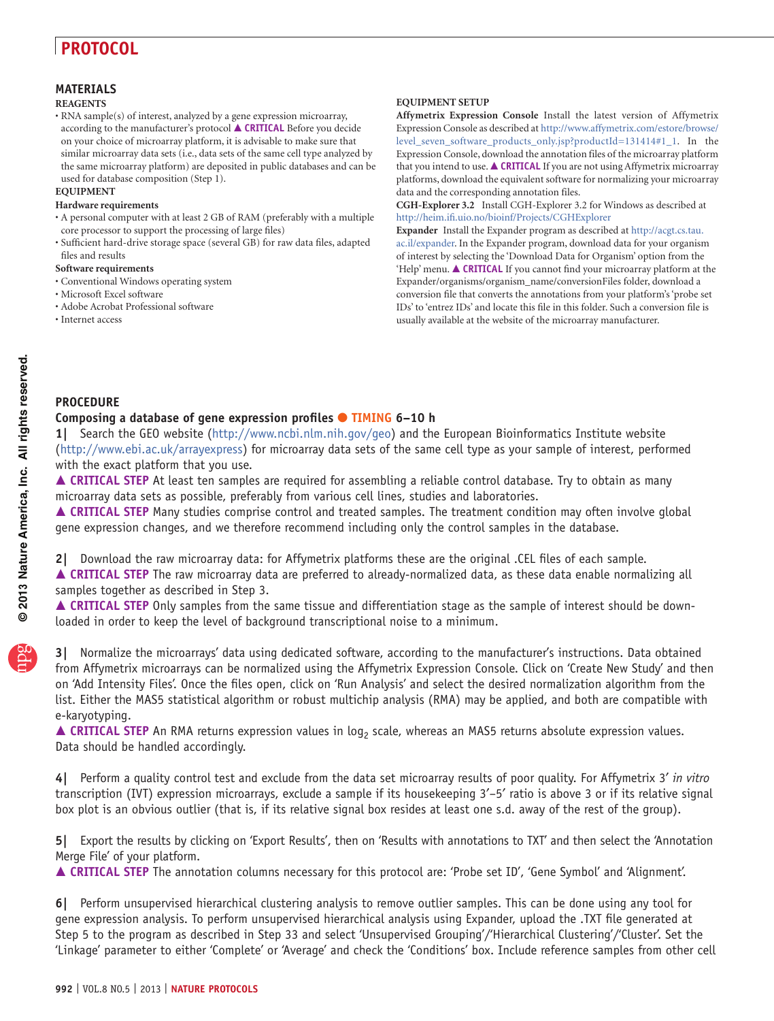# **MATERIALS**

#### **REAGENTS**

RNA sample(s) of interest, analyzed by a gene expression microarray, • according to the manufacturer's protocol **CRITICAL** Before you decide on your choice of microarray platform, it is advisable to make sure that similar microarray data sets (i.e., data sets of the same cell type analyzed by the same microarray platform) are deposited in public databases and can be used for database composition (Step 1).

#### **EQUIPMENT**

#### **Hardware requirements**

- A personal computer with at least 2 GB of RAM (preferably with a multiple core processor to support the processing of large files)
- Sufficient hard-drive storage space (several GB) for raw data files, adapted files and results

#### **Software requirements**

- Conventional Windows operating system •
- Microsoft Excel software •
- Adobe Acrobat Professional software •
- Internet access

#### **EQUIPMENT SETUP**

**Affymetrix Expression Console** Install the latest version of Affymetrix Expression Console as described at [http://www.affymetrix.com/estore/browse/](http://www.affymetrix.com/estore/browse/level_seven_software_products_only.jsp?productId=131414#1_1) [level\\_seven\\_software\\_products\\_only.jsp?productId=131414#1\\_1.](http://www.affymetrix.com/estore/browse/level_seven_software_products_only.jsp?productId=131414#1_1) In the Expression Console, download the annotation files of the microarray platform that you intend to use. **CRITICAL** If you are not using Affymetrix microarray platforms, download the equivalent software for normalizing your microarray data and the corresponding annotation files.

**CGH-Explorer 3.2** Install CGH-Explorer 3.2 for Windows as described at <http://heim.ifi.uio.no/bioinf/Projects/CGHExplorer>

**Expander** Install the Expander program as described at [http://acgt.cs.tau.](http://acgt.cs.tau.ac.il/expander) [ac.il/expander.](http://acgt.cs.tau.ac.il/expander) In the Expander program, download data for your organism of interest by selecting the 'Download Data for Organism' option from the 'Help' menu. **CRITICAL** If you cannot find your microarray platform at the Expander/organisms/organism\_name/conversionFiles folder, download a conversion file that converts the annotations from your platform's 'probe set IDs' to 'entrez IDs' and locate this file in this folder. Such a conversion file is usually available at the website of the microarray manufacturer.

# **PROCEDURE**

### **Composing a database of gene expression profiles** ● **TIMING 6–10 h**

**1|** Search the GEO website (<http://www.ncbi.nlm.nih.gov/geo>) and the European Bioinformatics Institute website [\(http://www.ebi.ac.uk/arrayexpress](http://www.ebi.ac.uk/arrayexpress)) for microarray data sets of the same cell type as your sample of interest, performed with the exact platform that you use.

▲ CRITICAL STEP At least ten samples are required for assembling a reliable control database. Try to obtain as many microarray data sets as possible, preferably from various cell lines, studies and laboratories.

▲ CRITICAL STEP Many studies comprise control and treated samples. The treatment condition may often involve global gene expression changes, and we therefore recommend including only the control samples in the database.

**2|** Download the raw microarray data: for Affymetrix platforms these are the original .CEL files of each sample. ■ CRITICAL STEP The raw microarray data are preferred to already-normalized data, as these data enable normalizing all samples together as described in Step 3.

▲ CRITICAL STEP Only samples from the same tissue and differentiation stage as the sample of interest should be downloaded in order to keep the level of background transcriptional noise to a minimum.

**3|** Normalize the microarrays' data using dedicated software, according to the manufacturer's instructions. Data obtained from Affymetrix microarrays can be normalized using the Affymetrix Expression Console. Click on 'Create New Study' and then on 'Add Intensity Files'. Once the files open, click on 'Run Analysis' and select the desired normalization algorithm from the list. Either the MAS5 statistical algorithm or robust multichip analysis (RMA) may be applied, and both are compatible with e-karyotyping.

**△ CRITICAL STEP** An RMA returns expression values in log<sub>2</sub> scale, whereas an MAS5 returns absolute expression values. Data should be handled accordingly.

**4|** Perform a quality control test and exclude from the data set microarray results of poor quality. For Affymetrix 3′ *in vitro* transcription (IVT) expression microarrays, exclude a sample if its housekeeping 3′–5′ ratio is above 3 or if its relative signal box plot is an obvious outlier (that is, if its relative signal box resides at least one s.d. away of the rest of the group).

**5|** Export the results by clicking on 'Export Results', then on 'Results with annotations to TXT' and then select the 'Annotation Merge File' of your platform.

**CRITICAL STEP** The annotation columns necessary for this protocol are: 'Probe set ID', 'Gene Symbol' and 'Alignment'.

**6|** Perform unsupervised hierarchical clustering analysis to remove outlier samples. This can be done using any tool for gene expression analysis. To perform unsupervised hierarchical analysis using Expander, upload the .TXT file generated at Step 5 to the program as described in Step 33 and select 'Unsupervised Grouping'/'Hierarchical Clustering'/'Cluster'. Set the 'Linkage' parameter to either 'Complete' or 'Average' and check the 'Conditions' box. Include reference samples from other cell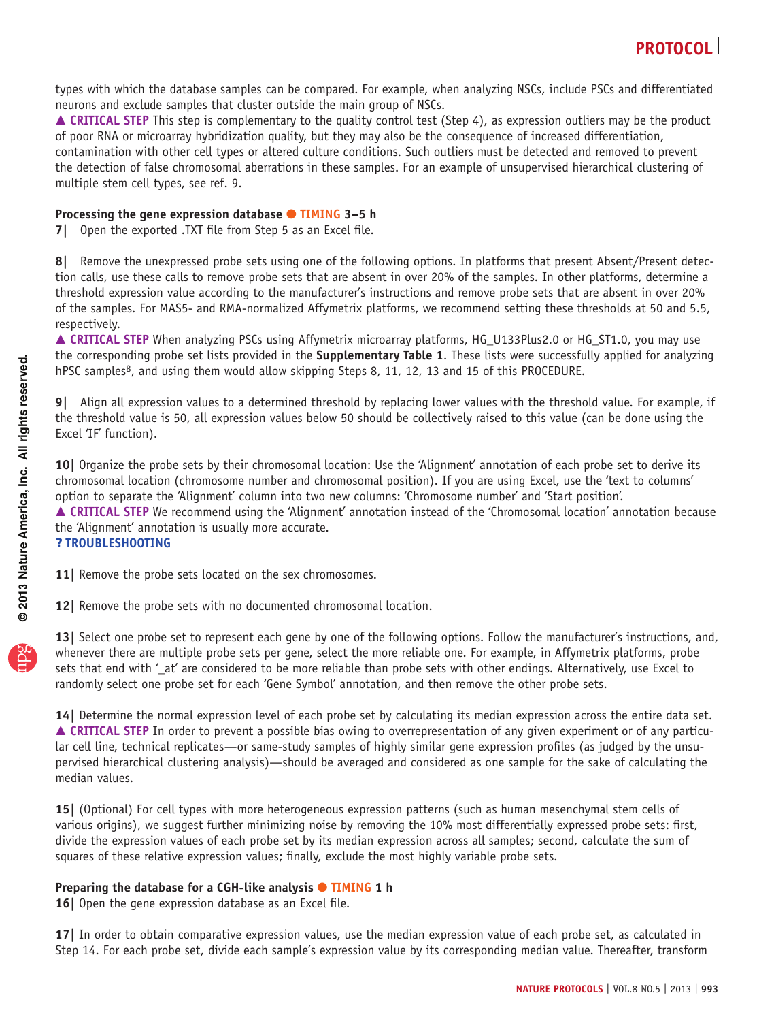

types with which the database samples can be compared. For example, when analyzing NSCs, include PSCs and differentiated neurons and exclude samples that cluster outside the main group of NSCs.

▲ CRITICAL STEP This step is complementary to the quality control test (Step 4), as expression outliers may be the product of poor RNA or microarray hybridization quality, but they may also be the consequence of increased differentiation, contamination with other cell types or altered culture conditions. Such outliers must be detected and removed to prevent the detection of false chromosomal aberrations in these samples. For an example of unsupervised hierarchical clustering of multiple stem cell types, see ref. [9.](#page-8-8)

### **Processing the gene expression database ● TIMING 3-5 h**

**7|** Open the exported .TXT file from Step 5 as an Excel file.

**8|** Remove the unexpressed probe sets using one of the following options. In platforms that present Absent/Present detection calls, use these calls to remove probe sets that are absent in over 20% of the samples. In other platforms, determine a threshold expression value according to the manufacturer's instructions and remove probe sets that are absent in over 20% of the samples. For MAS5- and RMA-normalized Affymetrix platforms, we recommend setting these thresholds at 50 and 5.5, respectively.

 **CRITICAL STEP** When analyzing PSCs using Affymetrix microarray platforms, HG\_U133Plus2.0 or HG\_ST1.0, you may use the corresponding probe set lists provided in the **Supplementary Table 1**. These lists were successfully applied for analyzing hPSC samples<sup>8</sup>, and using them would allow skipping Steps [8,](#page-8-6) 11, 12, 13 and 15 of this PROCEDURE.

**9|** Align all expression values to a determined threshold by replacing lower values with the threshold value. For example, if the threshold value is 50, all expression values below 50 should be collectively raised to this value (can be done using the Excel 'IF' function).

**10|** Organize the probe sets by their chromosomal location: Use the 'Alignment' annotation of each probe set to derive its chromosomal location (chromosome number and chromosomal position). If you are using Excel, use the 'text to columns' option to separate the 'Alignment' column into two new columns: 'Chromosome number' and 'Start position'. **CRITICAL STEP** We recommend using the 'Alignment' annotation instead of the 'Chromosomal location' annotation because the 'Alignment' annotation is usually more accurate. ? **TROUBLESHOOTING**

**11|** Remove the probe sets located on the sex chromosomes.

**12|** Remove the probe sets with no documented chromosomal location.

**13|** Select one probe set to represent each gene by one of the following options. Follow the manufacturer's instructions, and, whenever there are multiple probe sets per gene, select the more reliable one. For example, in Affymetrix platforms, probe sets that end with 'at' are considered to be more reliable than probe sets with other endings. Alternatively, use Excel to randomly select one probe set for each 'Gene Symbol' annotation, and then remove the other probe sets.

**14|** Determine the normal expression level of each probe set by calculating its median expression across the entire data set. ■ CRITICAL STEP In order to prevent a possible bias owing to overrepresentation of any given experiment or of any particular cell line, technical replicates—or same-study samples of highly similar gene expression profiles (as judged by the unsupervised hierarchical clustering analysis)—should be averaged and considered as one sample for the sake of calculating the median values.

**15|** (Optional) For cell types with more heterogeneous expression patterns (such as human mesenchymal stem cells of various origins), we suggest further minimizing noise by removing the 10% most differentially expressed probe sets: first, divide the expression values of each probe set by its median expression across all samples; second, calculate the sum of squares of these relative expression values; finally, exclude the most highly variable probe sets.

## **Preparing the database for a CGH-like analysis ● TIMING 1 h**

**16|** Open the gene expression database as an Excel file.

**17|** In order to obtain comparative expression values, use the median expression value of each probe set, as calculated in Step 14. For each probe set, divide each sample's expression value by its corresponding median value. Thereafter, transform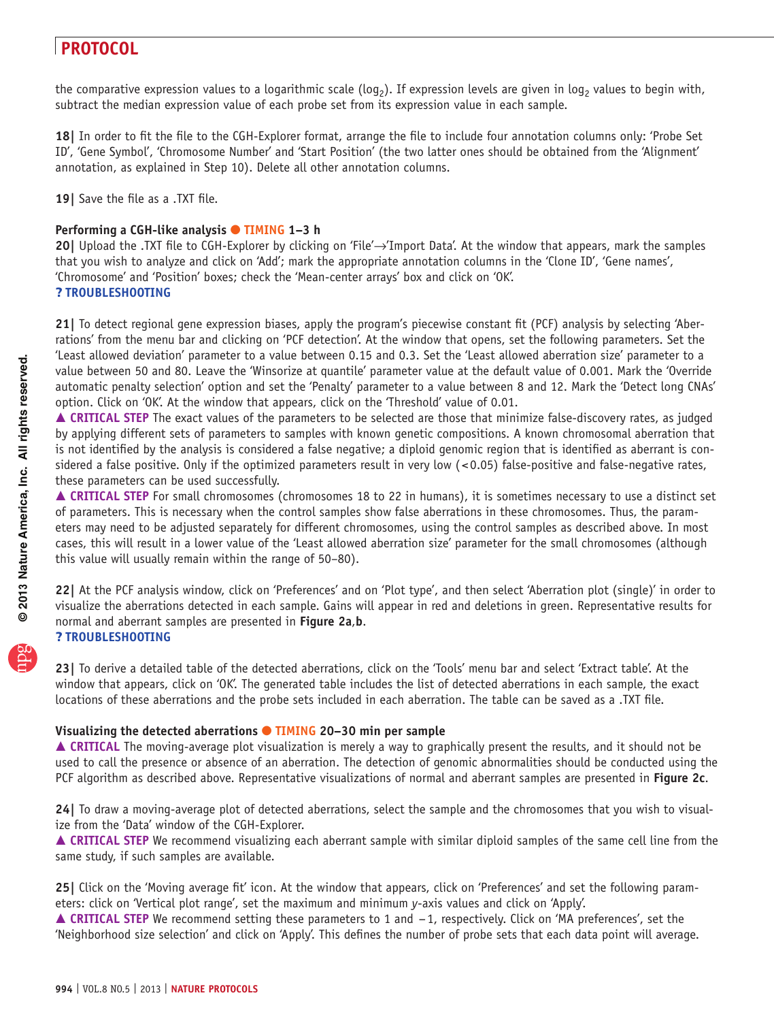the comparative expression values to a logarithmic scale (log<sub>2</sub>). If expression levels are given in log<sub>2</sub> values to begin with, subtract the median expression value of each probe set from its expression value in each sample.

**18|** In order to fit the file to the CGH-Explorer format, arrange the file to include four annotation columns only: 'Probe Set ID', 'Gene Symbol', 'Chromosome Number' and 'Start Position' (the two latter ones should be obtained from the 'Alignment' annotation, as explained in Step 10). Delete all other annotation columns.

**19|** Save the file as a .TXT file.

## **Performing a CGH-like analysis ● TIMING 1-3 h**

**20|** Upload the .TXT file to CGH-Explorer by clicking on 'File'→'Import Data'. At the window that appears, mark the samples that you wish to analyze and click on 'Add'; mark the appropriate annotation columns in the 'Clone ID', 'Gene names', 'Chromosome' and 'Position' boxes; check the 'Mean-center arrays' box and click on 'OK'.

### ? **TROUBLESHOOTING**

**21|** To detect regional gene expression biases, apply the program's piecewise constant fit (PCF) analysis by selecting 'Aberrations' from the menu bar and clicking on 'PCF detection'. At the window that opens, set the following parameters. Set the 'Least allowed deviation' parameter to a value between 0.15 and 0.3. Set the 'Least allowed aberration size' parameter to a value between 50 and 80. Leave the 'Winsorize at quantile' parameter value at the default value of 0.001. Mark the 'Override automatic penalty selection' option and set the 'Penalty' parameter to a value between 8 and 12. Mark the 'Detect long CNAs' option. Click on 'OK'. At the window that appears, click on the 'Threshold' value of 0.01.

**△ CRITICAL STEP** The exact values of the parameters to be selected are those that minimize false-discovery rates, as judged by applying different sets of parameters to samples with known genetic compositions. A known chromosomal aberration that is not identified by the analysis is considered a false negative; a diploid genomic region that is identified as aberrant is considered a false positive. Only if the optimized parameters result in very low  $(<0.05)$  false-positive and false-negative rates, these parameters can be used successfully.

 **CRITICAL STEP** For small chromosomes (chromosomes 18 to 22 in humans), it is sometimes necessary to use a distinct set of parameters. This is necessary when the control samples show false aberrations in these chromosomes. Thus, the parameters may need to be adjusted separately for different chromosomes, using the control samples as described above. In most cases, this will result in a lower value of the 'Least allowed aberration size' parameter for the small chromosomes (although this value will usually remain within the range of 50–80).

**22|** At the PCF analysis window, click on 'Preferences' and on 'Plot type', and then select 'Aberration plot (single)' in order to visualize the aberrations detected in each sample. Gains will appear in red and deletions in green. Representative results for normal and aberrant samples are presented in **[Figure 2a](#page-6-0)**,**b**.

#### ? **TROUBLESHOOTING**

**23|** To derive a detailed table of the detected aberrations, click on the 'Tools' menu bar and select 'Extract table'. At the window that appears, click on 'OK'. The generated table includes the list of detected aberrations in each sample, the exact locations of these aberrations and the probe sets included in each aberration. The table can be saved as a .TXT file.

## **Visualizing the detected aberrations** ● **TIMING 20–30 min per sample**

▲ CRITICAL The moving-average plot visualization is merely a way to graphically present the results, and it should not be used to call the presence or absence of an aberration. The detection of genomic abnormalities should be conducted using the PCF algorithm as described above. Representative visualizations of normal and aberrant samples are presented in **[Figure 2c](#page-6-0)**.

**24|** To draw a moving-average plot of detected aberrations, select the sample and the chromosomes that you wish to visualize from the 'Data' window of the CGH-Explorer.

**▲ CRITICAL STEP** We recommend visualizing each aberrant sample with similar diploid samples of the same cell line from the same study, if such samples are available.

**25|** Click on the 'Moving average fit' icon. At the window that appears, click on 'Preferences' and set the following parameters: click on 'Vertical plot range', set the maximum and minimum *y*-axis values and click on 'Apply'.

 **CRITICAL STEP** We recommend setting these parameters to 1 and −1, respectively. Click on 'MA preferences', set the 'Neighborhood size selection' and click on 'Apply'. This defines the number of probe sets that each data point will average.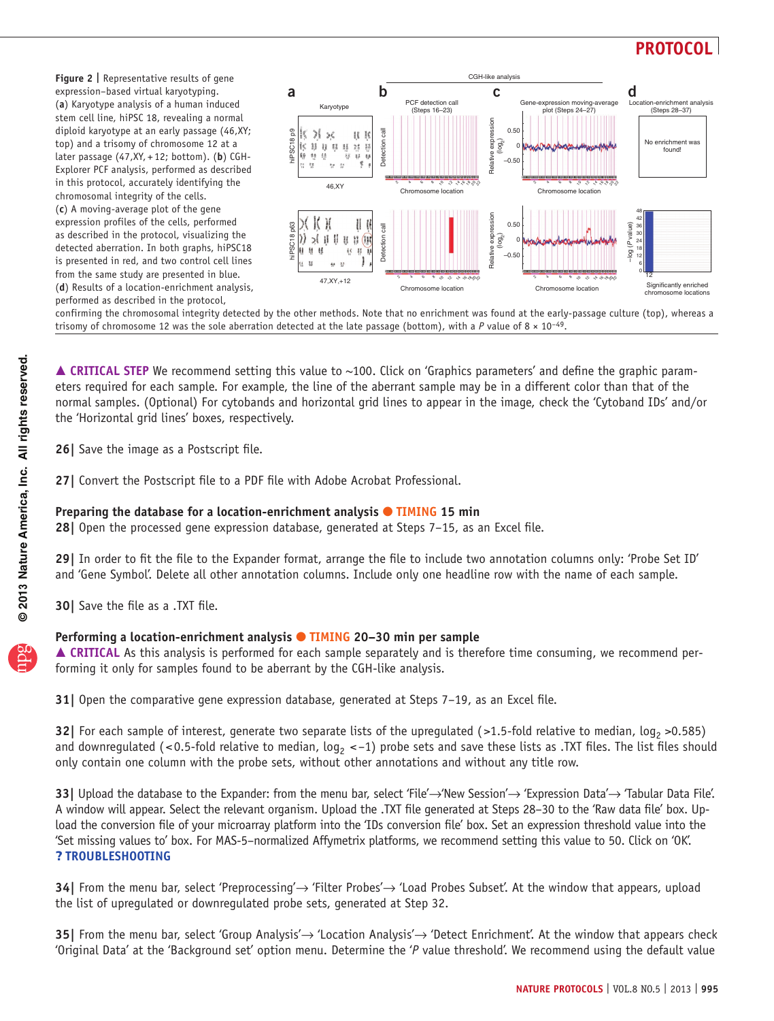<span id="page-6-0"></span>**Figure 2 |** Representative results of gene expression–based virtual karyotyping. (**a**) Karyotype analysis of a human induced stem cell line, hiPSC 18, revealing a normal diploid karyotype at an early passage (46,XY; top) and a trisomy of chromosome 12 at a later passage (47,XY, + 12; bottom). (**b**) CGH-Explorer PCF analysis, performed as described in this protocol, accurately identifying the chromosomal integrity of the cells. (**c**) A moving-average plot of the gene expression profiles of the cells, performed as described in the protocol, visualizing the detected aberration. In both graphs, hiPSC18 is presented in red, and two control cell lines from the same study are presented in blue. (**d**) Results of a location-enrichment analysis, performed as described in the protocol,



confirming the chromosomal integrity detected by the other methods. Note that no enrichment was found at the early-passage culture (top), whereas a trisomy of chromosome 12 was the sole aberration detected at the late passage (bottom), with a *P* value of 8 × 10–49.

**△ CRITICAL STEP** We recommend setting this value to ~100. Click on 'Graphics parameters' and define the graphic parameters required for each sample. For example, the line of the aberrant sample may be in a different color than that of the normal samples. (Optional) For cytobands and horizontal grid lines to appear in the image, check the 'Cytoband IDs' and/or the 'Horizontal grid lines' boxes, respectively.

**26|** Save the image as a Postscript file.

**27|** Convert the Postscript file to a PDF file with Adobe Acrobat Professional.

# **Preparing the database for a location-enrichment analysis ● TIMING 15 min**

**28|** Open the processed gene expression database, generated at Steps 7–15, as an Excel file.

**29|** In order to fit the file to the Expander format, arrange the file to include two annotation columns only: 'Probe Set ID' and 'Gene Symbol'. Delete all other annotation columns. Include only one headline row with the name of each sample.

**30|** Save the file as a .TXT file.

# **Performing a location-enrichment analysis ● TIMING 20-30 min per sample**

**△ CRITICAL** As this analysis is performed for each sample separately and is therefore time consuming, we recommend performing it only for samples found to be aberrant by the CGH-like analysis.

**31|** Open the comparative gene expression database, generated at Steps 7–19, as an Excel file.

**32** For each sample of interest, generate two separate lists of the upregulated  $(>1.5$ -fold relative to median,  $log<sub>2</sub> >0.585)$ and downregulated (<0.5-fold relative to median,  $log_2$  <-1) probe sets and save these lists as .TXT files. The list files should only contain one column with the probe sets, without other annotations and without any title row.

**33|** Upload the database to the Expander: from the menu bar, select 'File'→'New Session'→ 'Expression Data'→ 'Tabular Data File'. A window will appear. Select the relevant organism. Upload the .TXT file generated at Steps 28–30 to the 'Raw data file' box. Upload the conversion file of your microarray platform into the 'IDs conversion file' box. Set an expression threshold value into the 'Set missing values to' box. For MAS-5–normalized Affymetrix platforms, we recommend setting this value to 50. Click on 'OK'. ? **TROUBLESHOOTING**

**34|** From the menu bar, select 'Preprocessing'→ 'Filter Probes'→ 'Load Probes Subset'. At the window that appears, upload the list of upregulated or downregulated probe sets, generated at Step 32.

**35|** From the menu bar, select 'Group Analysis'→ 'Location Analysis'→ 'Detect Enrichment'. At the window that appears check 'Original Data' at the 'Background set' option menu. Determine the '*P* value threshold'. We recommend using the default value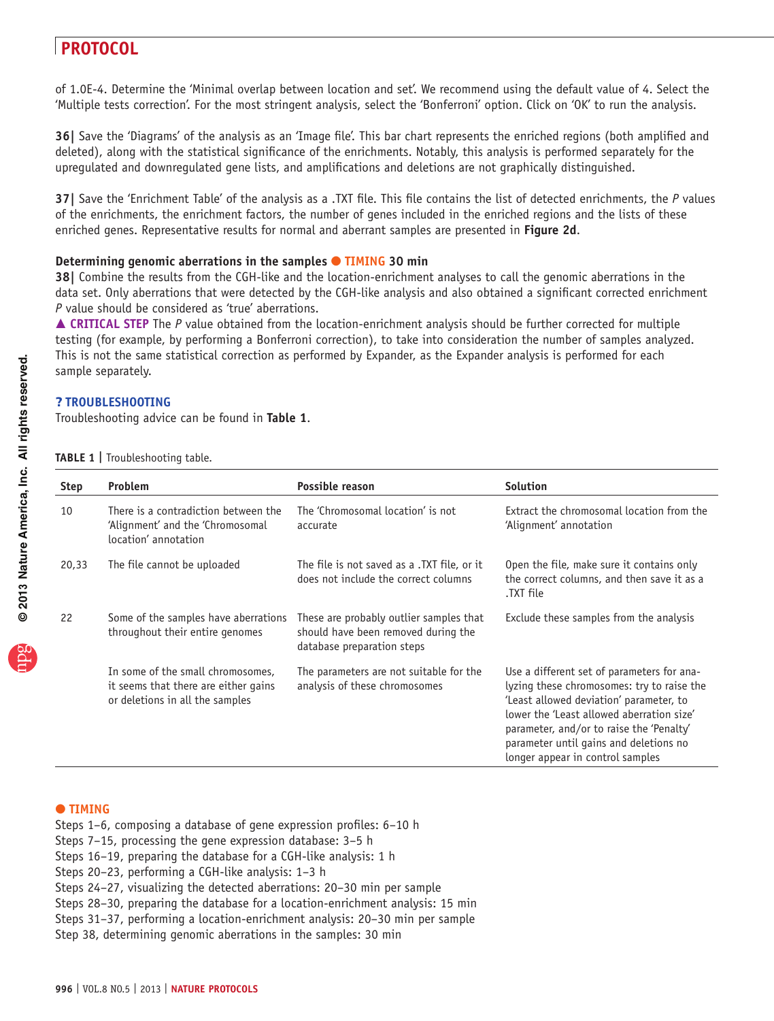of 1.0E-4. Determine the 'Minimal overlap between location and set'. We recommend using the default value of 4. Select the 'Multiple tests correction'. For the most stringent analysis, select the 'Bonferroni' option. Click on 'OK' to run the analysis.

**36|** Save the 'Diagrams' of the analysis as an 'Image file'. This bar chart represents the enriched regions (both amplified and deleted), along with the statistical significance of the enrichments. Notably, this analysis is performed separately for the upregulated and downregulated gene lists, and amplifications and deletions are not graphically distinguished.

**37|** Save the 'Enrichment Table' of the analysis as a .TXT file. This file contains the list of detected enrichments, the *P* values of the enrichments, the enrichment factors, the number of genes included in the enriched regions and the lists of these enriched genes. Representative results for normal and aberrant samples are presented in **[Figure 2d](#page-6-0)**.

### **Determining genomic aberrations in the samples ● TIMING 30 min**

**38|** Combine the results from the CGH-like and the location-enrichment analyses to call the genomic aberrations in the data set. Only aberrations that were detected by the CGH-like analysis and also obtained a significant corrected enrichment *P* value should be considered as 'true' aberrations.

 **CRITICAL STEP** The *P* value obtained from the location-enrichment analysis should be further corrected for multiple testing (for example, by performing a Bonferroni correction), to take into consideration the number of samples analyzed. This is not the same statistical correction as performed by Expander, as the Expander analysis is performed for each sample separately.

# ? **TROUBLESHOOTING**

Troubleshooting advice can be found in **[Table 1](#page-7-0)**.

#### <span id="page-7-0"></span>**TABLE 1** | Troubleshooting table.

| <b>Step</b> | Problem                                                                                                      | Possible reason                                                                                              | <b>Solution</b>                                                                                                                                                                                                                                                                                            |
|-------------|--------------------------------------------------------------------------------------------------------------|--------------------------------------------------------------------------------------------------------------|------------------------------------------------------------------------------------------------------------------------------------------------------------------------------------------------------------------------------------------------------------------------------------------------------------|
| 10          | There is a contradiction between the<br>'Alignment' and the 'Chromosomal<br>location' annotation             | The 'Chromosomal location' is not<br>accurate                                                                | Extract the chromosomal location from the<br>'Alignment' annotation                                                                                                                                                                                                                                        |
| 20,33       | The file cannot be uploaded                                                                                  | The file is not saved as a .TXT file, or it<br>does not include the correct columns                          | Open the file, make sure it contains only<br>the correct columns, and then save it as a<br>.TXT file                                                                                                                                                                                                       |
| 22          | Some of the samples have aberrations<br>throughout their entire genomes                                      | These are probably outlier samples that<br>should have been removed during the<br>database preparation steps | Exclude these samples from the analysis                                                                                                                                                                                                                                                                    |
|             | In some of the small chromosomes,<br>it seems that there are either gains<br>or deletions in all the samples | The parameters are not suitable for the<br>analysis of these chromosomes                                     | Use a different set of parameters for ana-<br>lyzing these chromosomes: try to raise the<br>'Least allowed deviation' parameter, to<br>lower the 'Least allowed aberration size'<br>parameter, and/or to raise the 'Penalty'<br>parameter until gains and deletions no<br>longer appear in control samples |

## ● **TIMING**

Steps 1–6, composing a database of gene expression profiles: 6–10 h Steps 7–15, processing the gene expression database: 3–5 h Steps 16–19, preparing the database for a CGH-like analysis: 1 h Steps 20–23, performing a CGH-like analysis: 1–3 h

Steps 24–27, visualizing the detected aberrations: 20–30 min per sample

Steps 28–30, preparing the database for a location-enrichment analysis: 15 min

Steps 31–37, performing a location-enrichment analysis: 20–30 min per sample

Step 38, determining genomic aberrations in the samples: 30 min